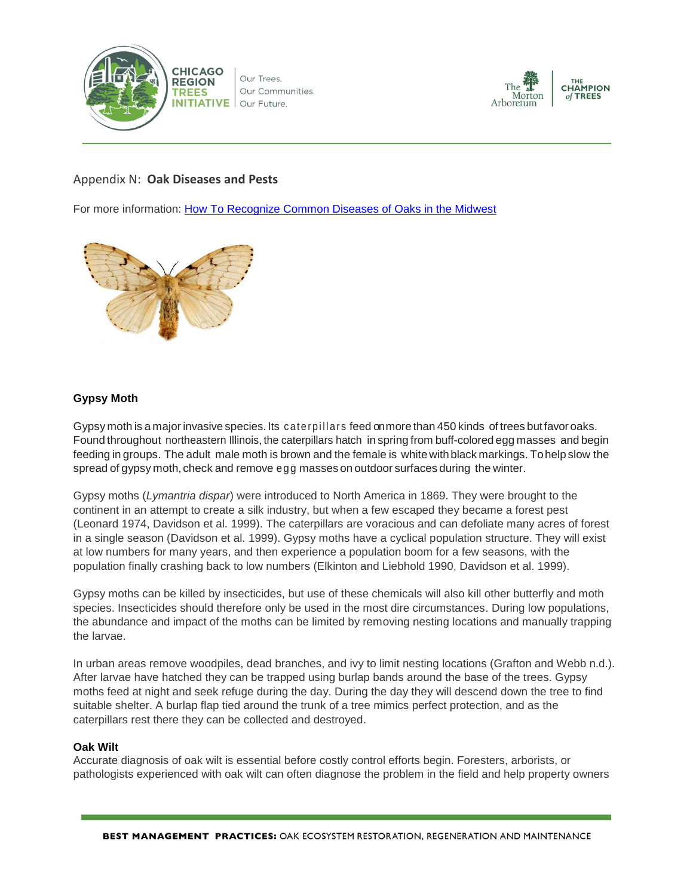

Our Trees. Our Communities. Our Future.



# Appendix N: **Oak Diseases and Pests**

For more information: [How To Recognize Common Diseases of Oaks in the Midwest](https://www.na.fs.fed.us/pubs/howtos/HowToRecognizeCommonDiseasesOaks.pdf)



# **Gypsy Moth**

Gypsy moth is a major invasive species.Its caterpillars feed on more than 450 kinds of trees but favor oaks. Found throughout northeastern Illinois, the caterpillars hatch in spring from buff-colored egg masses and begin feeding in groups. The adult male moth is brown and the female is whitewith black markings. Tohelp slow the spread of gypsy moth, check and remove egg masses on outdoor surfaces during the winter.

Gypsy moths (*Lymantria dispar*) were introduced to North America in 1869. They were brought to the continent in an attempt to create a silk industry, but when a few escaped they became a forest pest (Leonard 1974, Davidson et al. 1999). The caterpillars are voracious and can defoliate many acres of forest in a single season (Davidson et al. 1999). Gypsy moths have a cyclical population structure. They will exist at low numbers for many years, and then experience a population boom for a few seasons, with the population finally crashing back to low numbers (Elkinton and Liebhold 1990, Davidson et al. 1999).

Gypsy moths can be killed by insecticides, but use of these chemicals will also kill other butterfly and moth species. Insecticides should therefore only be used in the most dire circumstances. During low populations, the abundance and impact of the moths can be limited by removing nesting locations and manually trapping the larvae.

In urban areas remove woodpiles, dead branches, and ivy to limit nesting locations (Grafton and Webb n.d.). After larvae have hatched they can be trapped using burlap bands around the base of the trees. Gypsy moths feed at night and seek refuge during the day. During the day they will descend down the tree to find suitable shelter. A burlap flap tied around the trunk of a tree mimics perfect protection, and as the caterpillars rest there they can be collected and destroyed.

## **Oak Wilt**

Accurate diagnosis of oak wilt is essential before costly control efforts begin. Foresters, arborists, or pathologists experienced with oak wilt can often diagnose the problem in the field and help property owners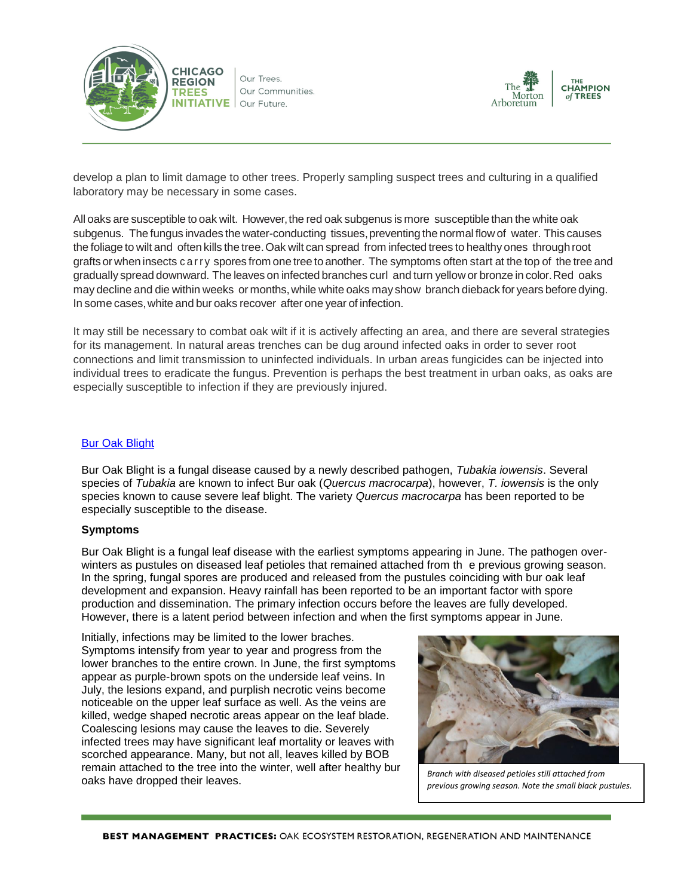

Our Trees. Our Communities. Our Future.



develop a plan to limit damage to other trees. Properly sampling suspect trees and culturing in a qualified laboratory may be necessary in some cases.

All oaks are susceptible to oak wilt. However, the red oak subgenus is more susceptible than the white oak subgenus. The fungus invades the water-conducting tissues, preventing the normal flow of water. This causes the foliage to wilt and often kills the tree. Oak wilt can spread from infected trees to healthy ones through root grafts or when insects c arry spores from one tree to another. The symptoms often start at the top of the tree and gradually spread downward. The leaves on infected branches curl and turn yellow or bronze in color.Red oaks may decline and die within weeks or months,while white oaks may show branch dieback for years before dying. In some cases,white and bur oaks recover after one year of infection.

It may still be necessary to combat oak wilt if it is actively affecting an area, and there are several strategies for its management. In natural areas trenches can be dug around infected oaks in order to sever root connections and limit transmission to uninfected individuals. In urban areas fungicides can be injected into individual trees to eradicate the fungus. Prevention is perhaps the best treatment in urban oaks, as oaks are especially susceptible to infection if they are previously injured.

#### [Bur Oak Blight](http://hyg.ipm.illinois.edu/article.php?id=420)

Bur Oak Blight is a fungal disease caused by a newly described pathogen, *Tubakia iowensis*. Several species of *Tubakia* are known to infect Bur oak (*Quercus macrocarpa*), however, *T. iowensis* is the only species known to cause severe leaf blight. The variety *Quercus macrocarpa* has been reported to be especially susceptible to the disease.

#### **Symptoms**

Bur Oak Blight is a fungal leaf disease with the earliest symptoms appearing in June. The pathogen overwinters as pustules on diseased leaf petioles that remained attached from th e previous growing season. In the spring, fungal spores are produced and released from the pustules coinciding with bur oak leaf development and expansion. Heavy rainfall has been reported to be an important factor with spore production and dissemination. The primary infection occurs before the leaves are fully developed. However, there is a latent period between infection and when the first symptoms appear in June.

Initially, infections may be limited to the lower braches. Symptoms intensify from year to year and progress from the lower branches to the entire crown. In June, the first symptoms appear as purple-brown spots on the underside leaf veins. In July, the lesions expand, and purplish necrotic veins become noticeable on the upper leaf surface as well. As the veins are killed, wedge shaped necrotic areas appear on the leaf blade. Coalescing lesions may cause the leaves to die. Severely infected trees may have significant leaf mortality or leaves with scorched appearance. Many, but not all, leaves killed by BOB remain attached to the tree into the winter, well after healthy bur oaks have dropped their leaves. *Branch with diseased petioles still attached from* 



*previous growing season. Note the small black pustules.*